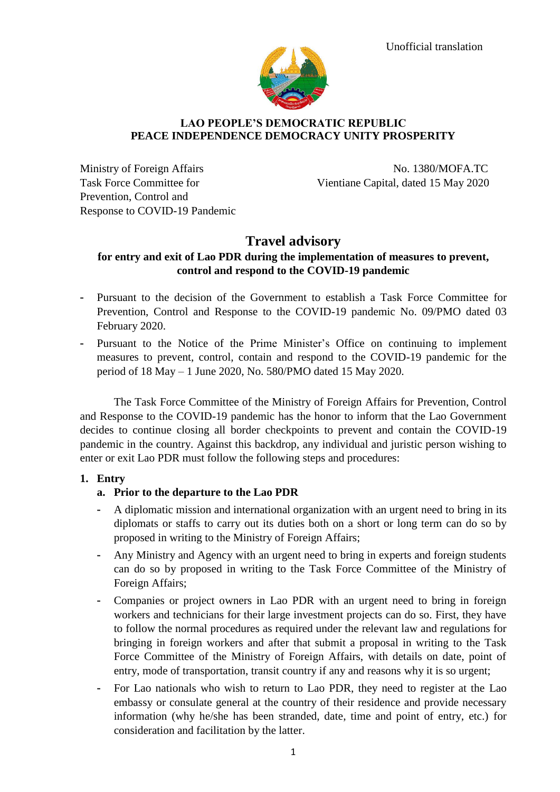

#### **LAO PEOPLE'S DEMOCRATIC REPUBLIC PEACE INDEPENDENCE DEMOCRACY UNITY PROSPERITY**

Prevention, Control and Response to COVID-19 Pandemic

Ministry of Foreign Affairs No. 1380/MOFA.TC Task Force Committee for Vientiane Capital, dated 15 May 2020

# **Travel advisory**

### **for entry and exit of Lao PDR during the implementation of measures to prevent, control and respond to the COVID-19 pandemic**

- Pursuant to the decision of the Government to establish a Task Force Committee for Prevention, Control and Response to the COVID-19 pandemic No. 09/PMO dated 03 February 2020.
- Pursuant to the Notice of the Prime Minister's Office on continuing to implement measures to prevent, control, contain and respond to the COVID-19 pandemic for the period of 18 May – 1 June 2020, No. 580/PMO dated 15 May 2020.

The Task Force Committee of the Ministry of Foreign Affairs for Prevention, Control and Response to the COVID-19 pandemic has the honor to inform that the Lao Government decides to continue closing all border checkpoints to prevent and contain the COVID-19 pandemic in the country. Against this backdrop, any individual and juristic person wishing to enter or exit Lao PDR must follow the following steps and procedures:

#### **1. Entry**

#### **a. Prior to the departure to the Lao PDR**

- A diplomatic mission and international organization with an urgent need to bring in its diplomats or staffs to carry out its duties both on a short or long term can do so by proposed in writing to the Ministry of Foreign Affairs;
- Any Ministry and Agency with an urgent need to bring in experts and foreign students can do so by proposed in writing to the Task Force Committee of the Ministry of Foreign Affairs;
- Companies or project owners in Lao PDR with an urgent need to bring in foreign workers and technicians for their large investment projects can do so. First, they have to follow the normal procedures as required under the relevant law and regulations for bringing in foreign workers and after that submit a proposal in writing to the Task Force Committee of the Ministry of Foreign Affairs, with details on date, point of entry, mode of transportation, transit country if any and reasons why it is so urgent;
- For Lao nationals who wish to return to Lao PDR, they need to register at the Lao embassy or consulate general at the country of their residence and provide necessary information (why he/she has been stranded, date, time and point of entry, etc.) for consideration and facilitation by the latter.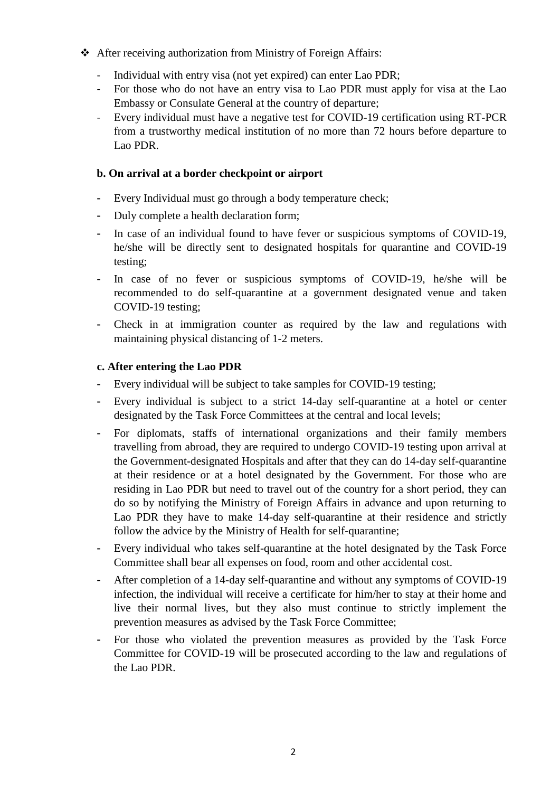- After receiving authorization from Ministry of Foreign Affairs:
	- Individual with entry visa (not yet expired) can enter Lao PDR;
	- For those who do not have an entry visa to Lao PDR must apply for visa at the Lao Embassy or Consulate General at the country of departure;
	- Every individual must have a negative test for COVID-19 certification using RT-PCR from a trustworthy medical institution of no more than 72 hours before departure to Lao PDR.

### **b. On arrival at a border checkpoint or airport**

- Every Individual must go through a body temperature check;
- Duly complete a health declaration form;
- In case of an individual found to have fever or suspicious symptoms of COVID-19, he/she will be directly sent to designated hospitals for quarantine and COVID-19 testing;
- In case of no fever or suspicious symptoms of COVID-19, he/she will be recommended to do self-quarantine at a government designated venue and taken COVID-19 testing;
- Check in at immigration counter as required by the law and regulations with maintaining physical distancing of 1-2 meters.

## **c. After entering the Lao PDR**

- Every individual will be subject to take samples for COVID-19 testing;
- Every individual is subject to a strict 14-day self-quarantine at a hotel or center designated by the Task Force Committees at the central and local levels;
- For diplomats, staffs of international organizations and their family members travelling from abroad, they are required to undergo COVID-19 testing upon arrival at the Government-designated Hospitals and after that they can do 14-day self-quarantine at their residence or at a hotel designated by the Government. For those who are residing in Lao PDR but need to travel out of the country for a short period, they can do so by notifying the Ministry of Foreign Affairs in advance and upon returning to Lao PDR they have to make 14-day self-quarantine at their residence and strictly follow the advice by the Ministry of Health for self-quarantine;
- Every individual who takes self-quarantine at the hotel designated by the Task Force Committee shall bear all expenses on food, room and other accidental cost.
- After completion of a 14-day self-quarantine and without any symptoms of COVID-19 infection, the individual will receive a certificate for him/her to stay at their home and live their normal lives, but they also must continue to strictly implement the prevention measures as advised by the Task Force Committee;
- For those who violated the prevention measures as provided by the Task Force Committee for COVID-19 will be prosecuted according to the law and regulations of the Lao PDR.